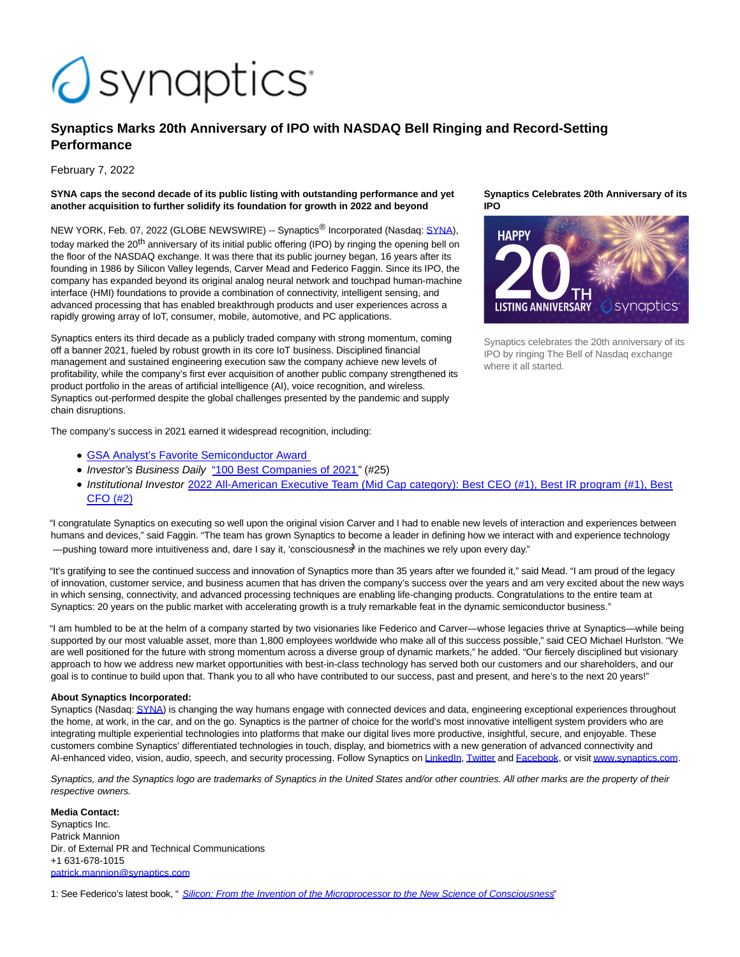# *<u>Osynaptics</u>*

## **Synaptics Marks 20th Anniversary of IPO with NASDAQ Bell Ringing and Record-Setting Performance**

February 7, 2022

#### **SYNA caps the second decade of its public listing with outstanding performance and yet another acquisition to further solidify its foundation for growth in 2022 and beyond**

NEW YORK, Feb. 07, 2022 (GLOBE NEWSWIRE) -- Synaptics<sup>®</sup> Incorporated (Nasdaq: [SYNA\),](https://www.globenewswire.com/Tracker?data=slf5R47hNzn8LN1H9EuzRFG59ij0jIeVE2y2WG7_bEPHKMpHwoyCG5gsFbnqZxVj8uVu8rJ7W-ZbCiVg_-22sNxlWC1JnByvMLUkUrR7gGo=) today marked the 20<sup>th</sup> anniversary of its initial public offering (IPO) by ringing the opening bell on the floor of the NASDAQ exchange. It was there that its public journey began, 16 years after its founding in 1986 by Silicon Valley legends, Carver Mead and Federico Faggin. Since its IPO, the company has expanded beyond its original analog neural network and touchpad human-machine interface (HMI) foundations to provide a combination of connectivity, intelligent sensing, and advanced processing that has enabled breakthrough products and user experiences across a rapidly growing array of IoT, consumer, mobile, automotive, and PC applications.

Synaptics enters its third decade as a publicly traded company with strong momentum, coming off a banner 2021, fueled by robust growth in its core IoT business. Disciplined financial management and sustained engineering execution saw the company achieve new levels of profitability, while the company's first ever acquisition of another public company strengthened its product portfolio in the areas of artificial intelligence (AI), voice recognition, and wireless. Synaptics out-performed despite the global challenges presented by the pandemic and supply chain disruptions.

The company's success in 2021 earned it widespread recognition, including:

- [GSA Analyst's Favorite Semiconductor Award](https://www.synaptics.com/company/news/synaptics-wins-favorite-semiconductor-company-gsa-award)
- Investor's Business Daily ["100 Best Companies of 2021"](https://www.investors.com/news/best-stocks-of-2021-moderna-biontech-among-the-100-best-companies/) (#25)
- Institutional Investor [2022 All-American Executive Team \(Mid Cap category\): Best CEO \(#1\), Best IR program \(#1\), Best](https://www.synaptics.com/company/news/synaptics-wins-top-honors-institutional-investors-2022) CFO (#2)

"I congratulate Synaptics on executing so well upon the original vision Carver and I had to enable new levels of interaction and experiences between humans and devices," said Faggin. "The team has grown Synaptics to become a leader in defining how we interact with and experience technology —pushing toward more intuitiveness and, dare I say it, 'consciousness<sup>t</sup> in the machines we rely upon every day."

"It's gratifying to see the continued success and innovation of Synaptics more than 35 years after we founded it," said Mead. "I am proud of the legacy of innovation, customer service, and business acumen that has driven the company's success over the years and am very excited about the new ways in which sensing, connectivity, and advanced processing techniques are enabling life-changing products. Congratulations to the entire team at Synaptics: 20 years on the public market with accelerating growth is a truly remarkable feat in the dynamic semiconductor business."

"I am humbled to be at the helm of a company started by two visionaries like Federico and Carver—whose legacies thrive at Synaptics—while being supported by our most valuable asset, more than 1,800 employees worldwide who make all of this success possible," said CEO Michael Hurlston. "We are well positioned for the future with strong momentum across a diverse group of dynamic markets," he added. "Our fiercely disciplined but visionary approach to how we address new market opportunities with best-in-class technology has served both our customers and our shareholders, and our goal is to continue to build upon that. Thank you to all who have contributed to our success, past and present, and here's to the next 20 years!"

### **About Synaptics Incorporated:**

Synaptics (Nasdaq[: SYNA\)](https://www.globenewswire.com/Tracker?data=ZL7efF2S4YDuwIxR9z77j4V5h1bXUVEXfFghxY3gE_HI9LFPj_XI4PH6o8vHb-S7c9BpVvtjuKZ_RDxJZXS6AMClVRZXzNBHUJm7BghJR-k=) is changing the way humans engage with connected devices and data, engineering exceptional experiences throughout the home, at work, in the car, and on the go. Synaptics is the partner of choice for the world's most innovative intelligent system providers who are integrating multiple experiential technologies into platforms that make our digital lives more productive, insightful, secure, and enjoyable. These customers combine Synaptics' differentiated technologies in touch, display, and biometrics with a new generation of advanced connectivity and AI-enhanced video, vision, audio, speech, and security processing. Follow Synaptics on [LinkedIn,](https://www.globenewswire.com/Tracker?data=pKVBRpm8eFxQP5uFUS51SXKgVlVrnOIFSjYCXEVW59szqrC7yE7WPk04Dsr7BM_thgct21xGdFwmUZy1Zg6zZXsrOo2VO9b1A9AuQnLU4B0=) [Twitter a](https://www.globenewswire.com/Tracker?data=7XWJeD6kyYeKKcXRcXaw0W4LN-JF1PW9B0hjpYnW3QdZVlI0IJugbySI5XmjRMwPLIPtS4ukT3TU-C1FNLxGag==)n[d Facebook,](https://www.globenewswire.com/Tracker?data=GnkWpHMF6LyrcIb9FPychz4N-NYXwcC4ze-UAIZg-omcbvIu9eDtjKl1bMJQY6PYhlEIScREZGvUdblBavor_u0FlaXg6CA7IGdKLwEiFJA=) or visi[t www.synaptics.com.](https://www.globenewswire.com/Tracker?data=BfbSQCCRVXBNan57Hczjmtsyqrwmaxp8cQHnYUXRqBiv9RGQL3lhUIQdOO2ms7PkCs6MyzXCDJR7Lkh8hQCEGA==)

Synaptics, and the Synaptics logo are trademarks of Synaptics in the United States and/or other countries. All other marks are the property of their respective owners.

#### **Media Contact:**

Synaptics Inc. Patrick Mannion Dir. of External PR and Technical Communications +1 631-678-1015 [patrick.mannion@synaptics.com](https://www.globenewswire.com/Tracker?data=waZ5BcYdXjbnfHEbZKRc2vVd57oS-Hr-DFB65gpzBdZrfpw5g0pmd08eC7ad_uUJ5FuLcoDzFpC6AR3v15v0EU62hnWlu9B9myowSwFH8DTW8V9TXqSe5B0ow2r9B734)

1: See Federico's latest book, " [Silicon: From the Invention of the Microprocessor to the New Science of Consciousness](https://www.globenewswire.com/Tracker?data=kA0swbMIh-Hws3Mbi9bLGCBvzb44SmRLdpdZNYRpKMcsuHEW6hCAC3P-6Q1WBvN7KrTWrdJ_0rlt4G6P2TqoqvepzYnh-vJyHePN1TQad5lxj7_jQxNZwqJfmaV5VQTAJ8r_r_-8TkkswsDIkqPY4UNK-hD-yxDFzKBH_EJQ2bPmJ8Ky0IBwtnnOvzBsCciZkwsL5aERJnFnmrK4Pqmz1N459UmfdIa2-RpGJwUFJCpzbIEGuUC-CQwr7C40HsuV9UJ5YwfP1vb4awEC6V2dZg==)"





Synaptics celebrates the 20th anniversary of its IPO by ringing The Bell of Nasdaq exchange where it all started.